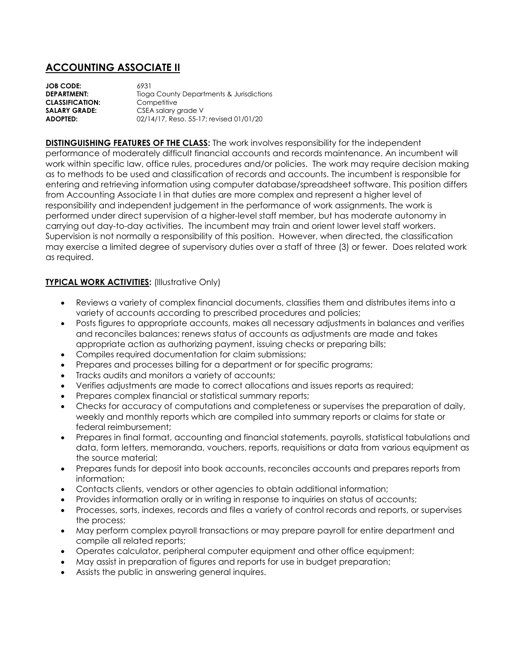## **ACCOUNTING ASSOCIATE II**

**JOB CODE:** 6931 **DEPARTMENT:** Tioga County Departments & Jurisdictions **CLASSIFICATION:** Competitive **SALARY GRADE:** CSEA salary grade V **ADOPTED:** 02/14/17, Reso. 55-17; revised 01/01/20

**DISTINGUISHING FEATURES OF THE CLASS:** The work involves responsibility for the independent performance of moderately difficult financial accounts and records maintenance. An incumbent will work within specific law, office rules, procedures and/or policies. The work may require decision making as to methods to be used and classification of records and accounts. The incumbent is responsible for entering and retrieving information using computer database/spreadsheet software. This position differs from Accounting Associate I in that duties are more complex and represent a higher level of responsibility and independent judgement in the performance of work assignments. The work is performed under direct supervision of a higher-level staff member, but has moderate autonomy in carrying out day-to-day activities. The incumbent may train and orient lower level staff workers. Supervision is not normally a responsibility of this position. However, when directed, the classification may exercise a limited degree of supervisory duties over a staff of three (3) or fewer. Does related work as required.

## **TYPICAL WORK ACTIVITIES:** (Illustrative Only)

- Reviews a variety of complex financial documents, classifies them and distributes items into a variety of accounts according to prescribed procedures and policies;
- Posts figures to appropriate accounts, makes all necessary adjustments in balances and verifies and reconciles balances; renews status of accounts as adjustments are made and takes appropriate action as authorizing payment, issuing checks or preparing bills;
- Compiles required documentation for claim submissions;
- Prepares and processes billing for a department or for specific programs;
- Tracks audits and monitors a variety of accounts;
- Verifies adjustments are made to correct allocations and issues reports as required;
- Prepares complex financial or statistical summary reports;
- Checks for accuracy of computations and completeness or supervises the preparation of daily, weekly and monthly reports which are compiled into summary reports or claims for state or federal reimbursement;
- Prepares in final format, accounting and financial statements, payrolls, statistical tabulations and data, form letters, memoranda, vouchers, reports, requisitions or data from various equipment as the source material;
- Prepares funds for deposit into book accounts, reconciles accounts and prepares reports from information;
- Contacts clients, vendors or other agencies to obtain additional information;
- Provides information orally or in writing in response to inquiries on status of accounts;
- Processes, sorts, indexes, records and files a variety of control records and reports, or supervises the process;
- May perform complex payroll transactions or may prepare payroll for entire department and compile all related reports;
- Operates calculator, peripheral computer equipment and other office equipment;
- May assist in preparation of figures and reports for use in budget preparation;
- Assists the public in answering general inquires.